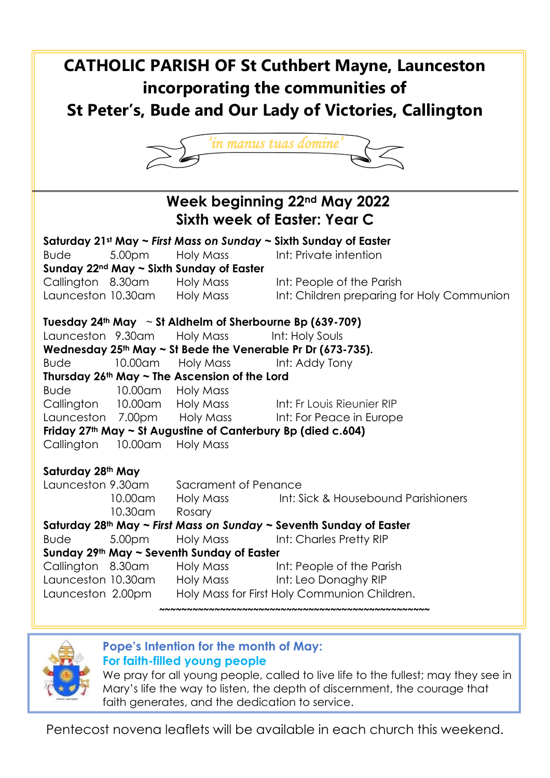# **CATHOLIC PARISH OF St Cuthbert Mayne, Launceston incorporating the communities of St Peter's, Bude and Our Lady of Victories, Callington**



| Week beginning 22nd May 2022<br><b>Sixth week of Easter: Year C</b> |                                           |                              |                                                         |
|---------------------------------------------------------------------|-------------------------------------------|------------------------------|---------------------------------------------------------|
| Saturday 21st May ~ First Mass on Sunday ~ Sixth Sunday of Easter   |                                           |                              |                                                         |
| <b>Bude</b>                                                         | 5.00pm                                    | Holy Mass                    | Int: Private intention                                  |
| Sunday $22^{nd}$ May $\sim$ Sixth Sunday of Easter                  |                                           |                              |                                                         |
| Callington 8.30am                                                   |                                           | Holy Mass                    | Int: People of the Parish                               |
|                                                                     |                                           | Launceston 10.30am Holy Mass | Int: Children preparing for Holy Communion              |
| Tuesday 24th May $\sim$ St Aldhelm of Sherbourne Bp (639-709)       |                                           |                              |                                                         |
| Launceston 9.30am                                                   |                                           | Holy Mass                    | Int: Holy Souls                                         |
| Wednesday $25th$ May ~ St Bede the Venerable Pr Dr (673-735).       |                                           |                              |                                                         |
| <b>Bude</b>                                                         | 10.00am                                   | Holy Mass                    | Int: Addy Tony                                          |
| Thursday $26th$ May $\sim$ The Ascension of the Lord                |                                           |                              |                                                         |
| <b>Bude</b>                                                         | 10.00am Holy Mass                         |                              |                                                         |
|                                                                     |                                           |                              | Callington 10.00am Holy Mass Int: Fr Louis Rieunier RIP |
|                                                                     |                                           |                              | Launceston 7.00pm Holy Mass Int: For Peace in Europe    |
| Friday 27th May ~ St Augustine of Canterbury Bp (died c.604)        |                                           |                              |                                                         |
| Callington 10.00am Holy Mass                                        |                                           |                              |                                                         |
| Saturday 28th May                                                   |                                           |                              |                                                         |
|                                                                     | Launceston 9.30am<br>Sacrament of Penance |                              |                                                         |
|                                                                     | 10.00am                                   | Holy Mass <b>Holl</b>        | Int: Sick & Housebound Parishioners                     |
|                                                                     | $10.30$ am                                | Rosary                       |                                                         |
| Saturday 28th May ~ First Mass on Sunday ~ Seventh Sunday of Easter |                                           |                              |                                                         |
| <b>Bude</b>                                                         | 5.00pm                                    | Holy Mass                    | Int: Charles Pretty RIP                                 |
| Sunday 29th May ~ Seventh Sunday of Easter                          |                                           |                              |                                                         |
| Callington 8.30am                                                   |                                           |                              | Holy Mass Int: People of the Parish                     |
|                                                                     |                                           |                              | Launceston 10.30am Holy Mass Int: Leo Donaghy RIP       |
| Launceston 2.00pm                                                   |                                           |                              | Holy Mass for First Holy Communion Children.            |
|                                                                     |                                           |                              |                                                         |



# **Pope's Intention for the month of May:**

# **For faith-filled young people**

We pray for all young people, called to live life to the fullest; may they see in Mary's life the way to listen, the depth of discernment, the courage that faith generates, and the dedication to service.

Pentecost novena leaflets will be available in each church this weekend.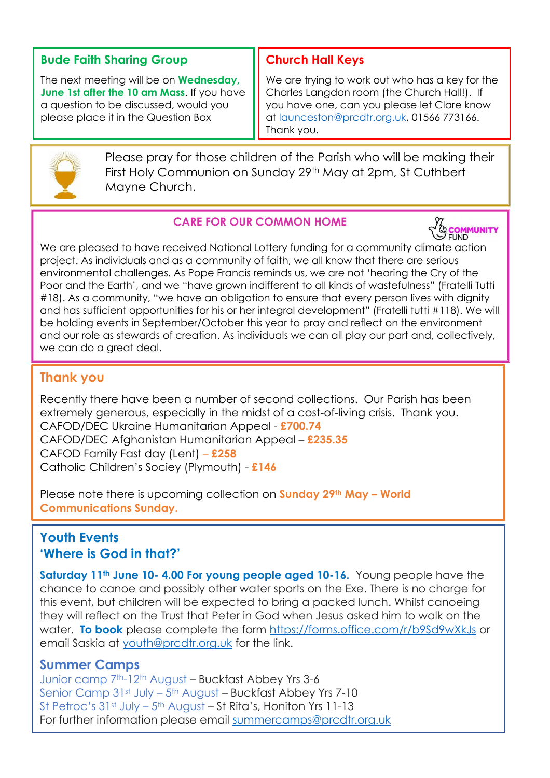# **Bude Faith Sharing Group**

The next meeting will be on **Wednesday, June 1st after the 10 am Mass**. If you have a question to be discussed, would you please place it in the Question Box

# **Church Hall Keys**

We are trying to work out who has a key for the Charles Langdon room (the Church Hall!). If you have one, can you please let Clare know at [launceston@prcdtr.org.uk,](mailto:launceston@prcdtr.org.uk) 01566 773166. Thank you.



Please pray for those children of the Parish who will be making their First Holy Communion on Sunday 29<sup>th</sup> May at 2pm, St Cuthbert Mayne Church.

### **CARE FOR OUR COMMON HOME**



We are pleased to have received National Lottery funding for a community climate action project. As individuals and as a community of faith, we all know that there are serious environmental challenges. As Pope Francis reminds us, we are not 'hearing the Cry of the Poor and the Earth', and we "have grown indifferent to all kinds of wastefulness" (Fratelli Tutti #18). As a community, "we have an obligation to ensure that every person lives with dignity and has sufficient opportunities for his or her integral development" (Fratelli tutti #118). We will be holding events in September/October this year to pray and reflect on the environment and our role as stewards of creation. As individuals we can all play our part and, collectively, we can do a great deal.

# **Thank you**

Recently there have been a number of second collections. Our Parish has been extremely generous, especially in the midst of a cost-of-living crisis. Thank you. CAFOD/DEC Ukraine Humanitarian Appeal - **£700.74** CAFOD/DEC Afghanistan Humanitarian Appeal – **£235.35** CAFOD Family Fast day (Lent) – **£258** Catholic Children's Sociey (Plymouth) - **£146**

Please note there is upcoming collection on **Sunday 29th May – World Communications Sunday.**

# **Youth Events 'Where is God in that?'**

**Saturday 11th June 10- 4.00 For young people aged 10-16.** Young people have the chance to canoe and possibly other water sports on the Exe. There is no charge for this event, but children will be expected to bring a packed lunch. Whilst canoeing they will reflect on the Trust that Peter in God when Jesus asked him to walk on the water. **To book** please complete the form <https://forms.office.com/r/b9Sd9wXkJs> or email Saskia at [youth@prcdtr.org.uk](mailto:youth@prcdtr.org.uk) for the link.

### **Summer Camps**

Junior camp 7th-12th August – Buckfast Abbey Yrs 3-6 Senior Camp 31st July – 5<sup>th</sup> August – Buckfast Abbey Yrs 7-10 St Petroc's 31st July – 5th August – St Rita's, Honiton Yrs 11-13 For further information please email summercamps@prcdtr.org.uk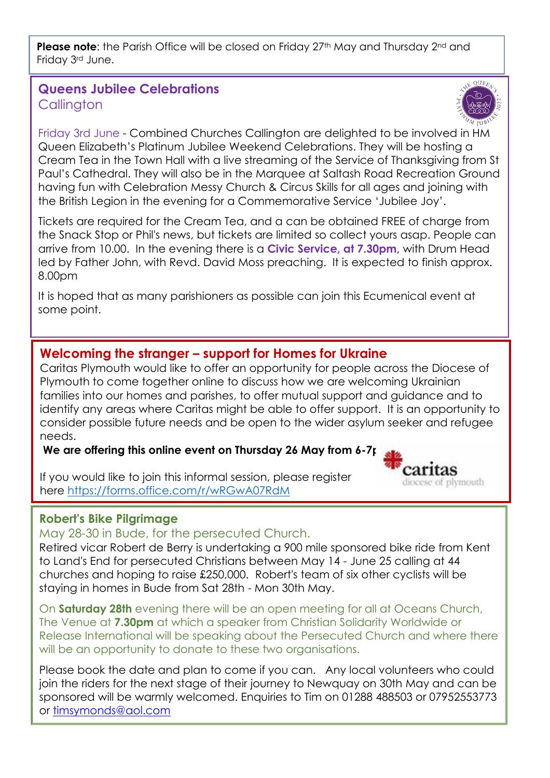**Please note:** the Parish Office will be closed on Friday 27<sup>th</sup> May and Thursday 2<sup>nd</sup> and Friday 3rd June.

# **Queens Jubilee Celebrations Callington**



carıtas diocese of plymouth

Friday 3rd June - Combined Churches Callington are delighted to be involved in HM Queen Elizabeth's Platinum Jubilee Weekend Celebrations. They will be hosting a Cream Tea in the Town Hall with a live streaming of the Service of Thanksgiving from St Paul's Cathedral. They will also be in the Marquee at Saltash Road Recreation Ground having fun with Celebration Messy Church & Circus Skills for all ages and joining with the British Legion in the evening for a Commemorative Service 'Jubilee Joy'.

Tickets are required for the Cream Tea, and a can be obtained FREE of charge from the Snack Stop or Phil's news, but tickets are limited so collect yours asap. People can arrive from 10.00. In the evening there is a **Civic Service, at 7.30pm,** with Drum Head led by Father John, with Revd. David Moss preaching. It is expected to finish approx. 8.00pm

It is hoped that as many parishioners as possible can join this Ecumenical event at some point.

# **Welcoming the stranger – support for Homes for Ukraine**

Caritas Plymouth would like to offer an opportunity for people across the Diocese of Plymouth to come together online to discuss how we are welcoming Ukrainian families into our homes and parishes, to offer mutual support and guidance and to identify any areas where Caritas might be able to offer support. It is an opportunity to consider possible future needs and be open to the wider asylum seeker and refugee needs.

**We are offering this online event on Thursday 26 May from 6-7pm.**

If you would like to join this informal session, please register here <https://forms.office.com/r/wRGwA07RdM>

# **Robert's Bike Pilgrimage**

May 28-30 in Bude, for the persecuted Church.

Retired vicar Robert de Berry is undertaking a 900 mile sponsored bike ride from Kent to Land's End for persecuted Christians between May 14 - June 25 calling at 44 churches and hoping to raise £250,000. Robert's team of six other cyclists will be staying in homes in Bude from Sat 28th - Mon 30th May.

On **Saturday 28th** evening there will be an open meeting for all at Oceans Church, The Venue at **7.30pm** at which a speaker from Christian Solidarity Worldwide or Release International will be speaking about the Persecuted Church and where there will be an opportunity to donate to these two organisations.

Please book the date and plan to come if you can. Any local volunteers who could join the riders for the next stage of their journey to Newquay on 30th May and can be sponsored will be warmly welcomed. Enquiries to Tim on 01288 488503 or 07952553773 or [timsymonds@aol.com](mailto:timsymonds@aol.com)